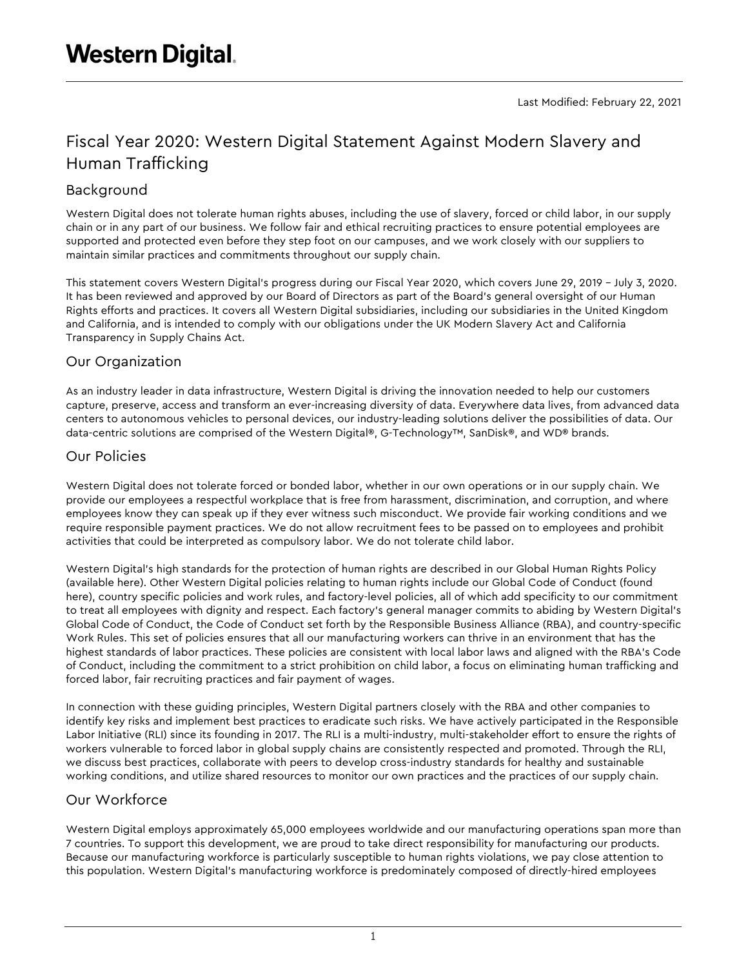# Fiscal Year 2020: Western Digital Statement Against Modern Slavery and Human Trafficking

## Background

Western Digital does not tolerate human rights abuses, including the use of slavery, forced or child labor, in our supply chain or in any part of our business. We follow fair and ethical recruiting practices to ensure potential employees are supported and protected even before they step foot on our campuses, and we work closely with our suppliers to maintain similar practices and commitments throughout our supply chain.

This statement covers Western Digital's progress during our Fiscal Year 2020, which covers June 29, 2019 – July 3, 2020. It has been reviewed and approved by our Board of Directors as part of the Board's general oversight of our Human Rights efforts and practices. It covers all Western Digital subsidiaries, including our subsidiaries in the United Kingdom and California, and is intended to comply with our obligations under the UK Modern Slavery Act and California Transparency in Supply Chains Act.

### Our Organization

As an industry leader in data infrastructure, Western Digital is driving the innovation needed to help our customers capture, preserve, access and transform an ever-increasing diversity of data. Everywhere data lives, from advanced data centers to autonomous vehicles to personal devices, our industry-leading solutions deliver the possibilities of data. Our data-centric solutions are comprised of the Western Digital®, G-Technology™, SanDisk®, and WD® brands.

## Our Policies

Western Digital does not tolerate forced or bonded labor, whether in our own operations or in our supply chain. We provide our employees a respectful workplace that is free from harassment, discrimination, and corruption, and where employees know they can speak up if they ever witness such misconduct. We provide fair working conditions and we require responsible payment practices. We do not allow recruitment fees to be passed on to employees and prohibit activities that could be interpreted as compulsory labor. We do not tolerate child labor.

Western Digital's high standards for the protection of human rights are described in our Global Human Rights Policy (available here). Other Western Digital policies relating to human rights include our Global Code of Conduct (found here), country specific policies and work rules, and factory-level policies, all of which add specificity to our commitment to treat all employees with dignity and respect. Each factory's general manager commits to abiding by Western Digital's Global Code of Conduct, the Code of Conduct set forth by the Responsible Business Alliance (RBA), and country-specific Work Rules. This set of policies ensures that all our manufacturing workers can thrive in an environment that has the highest standards of labor practices. These policies are consistent with local labor laws and aligned with the RBA's Code of Conduct, including the commitment to a strict prohibition on child labor, a focus on eliminating human trafficking and forced labor, fair recruiting practices and fair payment of wages.

In connection with these guiding principles, Western Digital partners closely with the RBA and other companies to identify key risks and implement best practices to eradicate such risks. We have actively participated in the Responsible Labor Initiative (RLI) since its founding in 2017. The RLI is a multi-industry, multi-stakeholder effort to ensure the rights of workers vulnerable to forced labor in global supply chains are consistently respected and promoted. Through the RLI, we discuss best practices, collaborate with peers to develop cross-industry standards for healthy and sustainable working conditions, and utilize shared resources to monitor our own practices and the practices of our supply chain.

## Our Workforce

Western Digital employs approximately 65,000 employees worldwide and our manufacturing operations span more than 7 countries. To support this development, we are proud to take direct responsibility for manufacturing our products. Because our manufacturing workforce is particularly susceptible to human rights violations, we pay close attention to this population. Western Digital's manufacturing workforce is predominately composed of directly-hired employees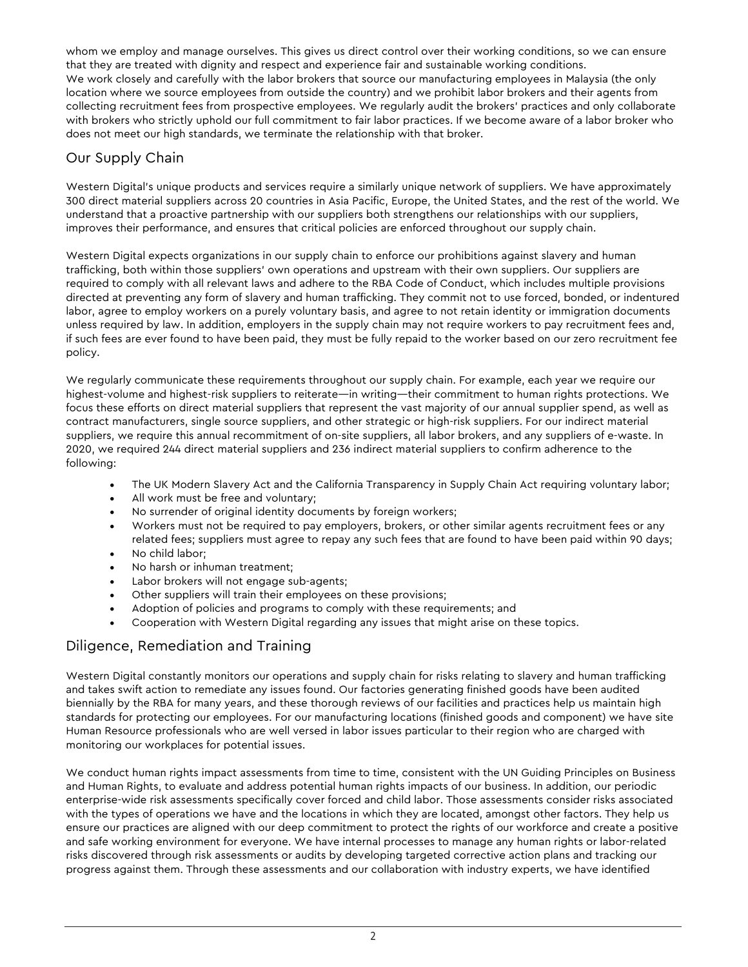whom we employ and manage ourselves. This gives us direct control over their working conditions, so we can ensure that they are treated with dignity and respect and experience fair and sustainable working conditions. We work closely and carefully with the labor brokers that source our manufacturing employees in Malaysia (the only location where we source employees from outside the country) and we prohibit labor brokers and their agents from collecting recruitment fees from prospective employees. We regularly audit the brokers' practices and only collaborate with brokers who strictly uphold our full commitment to fair labor practices. If we become aware of a labor broker who does not meet our high standards, we terminate the relationship with that broker.

#### Our Supply Chain

Western Digital's unique products and services require a similarly unique network of suppliers. We have approximately 300 direct material suppliers across 20 countries in Asia Pacific, Europe, the United States, and the rest of the world. We understand that a proactive partnership with our suppliers both strengthens our relationships with our suppliers, improves their performance, and ensures that critical policies are enforced throughout our supply chain.

Western Digital expects organizations in our supply chain to enforce our prohibitions against slavery and human trafficking, both within those suppliers' own operations and upstream with their own suppliers. Our suppliers are required to comply with all relevant laws and adhere to the RBA Code of Conduct, which includes multiple provisions directed at preventing any form of slavery and human trafficking. They commit not to use forced, bonded, or indentured labor, agree to employ workers on a purely voluntary basis, and agree to not retain identity or immigration documents unless required by law. In addition, employers in the supply chain may not require workers to pay recruitment fees and, if such fees are ever found to have been paid, they must be fully repaid to the worker based on our zero recruitment fee policy.

We regularly communicate these requirements throughout our supply chain. For example, each year we require our highest-volume and highest-risk suppliers to reiterate—in writing—their commitment to human rights protections. We focus these efforts on direct material suppliers that represent the vast majority of our annual supplier spend, as well as contract manufacturers, single source suppliers, and other strategic or high-risk suppliers. For our indirect material suppliers, we require this annual recommitment of on-site suppliers, all labor brokers, and any suppliers of e-waste. In 2020, we required 244 direct material suppliers and 236 indirect material suppliers to confirm adherence to the following:

- The UK Modern Slavery Act and the California Transparency in Supply Chain Act requiring voluntary labor;
- All work must be free and voluntary;
- No surrender of original identity documents by foreign workers;
- Workers must not be required to pay employers, brokers, or other similar agents recruitment fees or any related fees; suppliers must agree to repay any such fees that are found to have been paid within 90 days;
- No child labor;
- No harsh or inhuman treatment;
- Labor brokers will not engage sub-agents;
- Other suppliers will train their employees on these provisions;
- Adoption of policies and programs to comply with these requirements; and
- Cooperation with Western Digital regarding any issues that might arise on these topics.

#### Diligence, Remediation and Training

Western Digital constantly monitors our operations and supply chain for risks relating to slavery and human trafficking and takes swift action to remediate any issues found. Our factories generating finished goods have been audited biennially by the RBA for many years, and these thorough reviews of our facilities and practices help us maintain high standards for protecting our employees. For our manufacturing locations (finished goods and component) we have site Human Resource professionals who are well versed in labor issues particular to their region who are charged with monitoring our workplaces for potential issues.

We conduct human rights impact assessments from time to time, consistent with the UN Guiding Principles on Business and Human Rights, to evaluate and address potential human rights impacts of our business. In addition, our periodic enterprise-wide risk assessments specifically cover forced and child labor. Those assessments consider risks associated with the types of operations we have and the locations in which they are located, amongst other factors. They help us ensure our practices are aligned with our deep commitment to protect the rights of our workforce and create a positive and safe working environment for everyone. We have internal processes to manage any human rights or labor-related risks discovered through risk assessments or audits by developing targeted corrective action plans and tracking our progress against them. Through these assessments and our collaboration with industry experts, we have identified